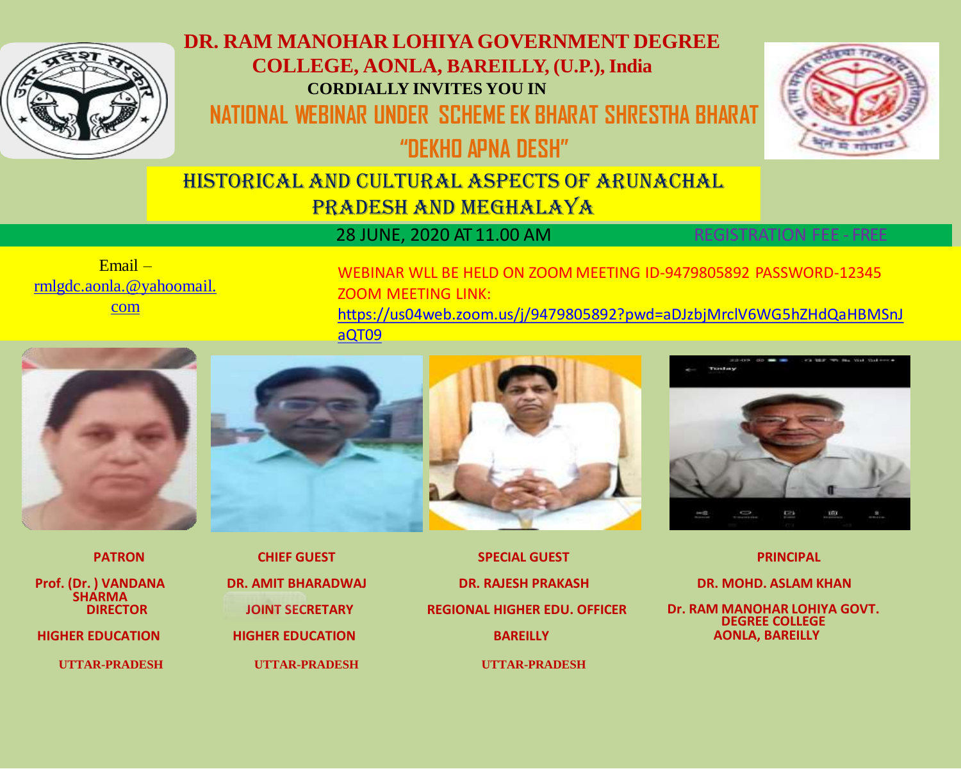

## **DR. RAM MANOHAR LOHIYA GOVERNMENT DEGREE COLLEGE, AONLA, BAREILLY, (U.P.), India CORDIALLY INVITES YOU IN NATIONAL WEBINAR UNDER SCHEME EK BHARAT SHRESTHA BHARAT**



**"DEKHO APNA DESH"**

## HISTORICAL AND CULTURAL ASPECTS OF ARUNACHAL PRADESH AND MEGHALAYA

28 JUNE, 2020 AT 11.00 AM REGISTRATION FEE - FREE

Email – [rmlgdc.aonla.@yahoomail.](mailto:rmlgdc.aonla.@yahoomail.com) com

WEBINAR WLL BE HELD ON ZOOM MEETING ID-9479805892 PASSWORD-12345 ZOOM MEETING LINK: [https://us04web.zoom.us/j/9479805892?pwd=aDJzbjMrclV6WG5hZHdQaHBMSnJ](https://us04web.zoom.us/j/9479805892?pwd=aDJzbjMrclV6WG5hZHdQaHBMSnJaQT09) aQT09





**HIGHER EDUCATION HIGHER EDUCATION BAREILLY AONLA, BAREILLY UTTAR-PRADESH UTTAR-PRADESH UTTAR-PRADESH**



**PATRON CHIEF GUEST SPECIAL GUEST PRINCIPAL DR. AMIT BHARADWAJ DR. RAJESH PRAKASH DR. MOHD. ASLAM KHAN**



**DIRECTOR JOINT SECRETARY REGIONAL HIGHER EDU. OFFICER Dr. RAM MANOHAR LOHIYA GOVT. DEGREE COLLEGE**

**Prof. (Dr. ) VANDANA SHARMA<br>DIRECTOR**